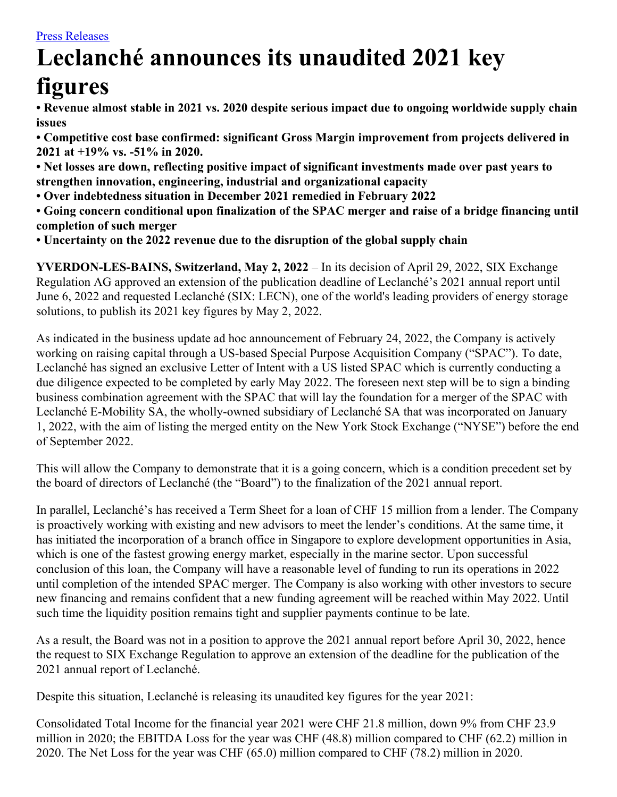# **Leclanché announces its unaudited 2021 key**

## **figures**

**• Revenue almost stable in 2021 vs. 2020 despite serious impact due to ongoing worldwide supply chain issues**

**• Competitive cost base confirmed: significant Gross Margin improvement from projects delivered in 2021 at +19% vs. -51% in 2020.**

**• Net losses are down, reflecting positive impact of significant investments made over past years to strengthen innovation, engineering, industrial and organizational capacity**

**• Over indebtedness situation in December 2021 remedied in February 2022**

**• Going concern conditional upon finalization of the SPAC merger and raise of a bridge financing until completion of such merger**

**• Uncertainty on the 2022 revenue due to the disruption of the global supply chain**

**YVERDON-LES-BAINS, Switzerland, May 2, 2022** – In its decision of April 29, 2022, SIX Exchange Regulation AG approved an extension of the publication deadline of Leclanché's 2021 annual report until June 6, 2022 and requested Leclanché (SIX: LECN), one of the world's leading providers of energy storage solutions, to publish its 2021 key figures by May 2, 2022.

As indicated in the business update ad hoc announcement of February 24, 2022, the Company is actively working on raising capital through a US-based Special Purpose Acquisition Company ("SPAC"). To date, Leclanché has signed an exclusive Letter of Intent with a US listed SPAC which is currently conducting a due diligence expected to be completed by early May 2022. The foreseen next step will be to sign a binding business combination agreement with the SPAC that will lay the foundation for a merger of the SPAC with Leclanché E-Mobility SA, the wholly-owned subsidiary of Leclanché SA that was incorporated on January 1, 2022, with the aim of listing the merged entity on the New York Stock Exchange ("NYSE") before the end of September 2022.

This will allow the Company to demonstrate that it is a going concern, which is a condition precedent set by the board of directors of Leclanché (the "Board") to the finalization of the 2021 annual report.

In parallel, Leclanché's has received a Term Sheet for a loan of CHF 15 million from a lender. The Company is proactively working with existing and new advisors to meet the lender's conditions. At the same time, it has initiated the incorporation of a branch office in Singapore to explore development opportunities in Asia, which is one of the fastest growing energy market, especially in the marine sector. Upon successful conclusion of this loan, the Company will have a reasonable level of funding to run its operations in 2022 until completion of the intended SPAC merger. The Company is also working with other investors to secure new financing and remains confident that a new funding agreement will be reached within May 2022. Until such time the liquidity position remains tight and supplier payments continue to be late.

As a result, the Board was not in a position to approve the 2021 annual report before April 30, 2022, hence the request to SIX Exchange Regulation to approve an extension of the deadline for the publication of the 2021 annual report of Leclanché.

Despite this situation, Leclanché is releasing its unaudited key figures for the year 2021:

Consolidated Total Income for the financial year 2021 were CHF 21.8 million, down 9% from CHF 23.9 million in 2020; the EBITDA Loss for the year was CHF (48.8) million compared to CHF (62.2) million in 2020. The Net Loss for the year was CHF (65.0) million compared to CHF (78.2) million in 2020.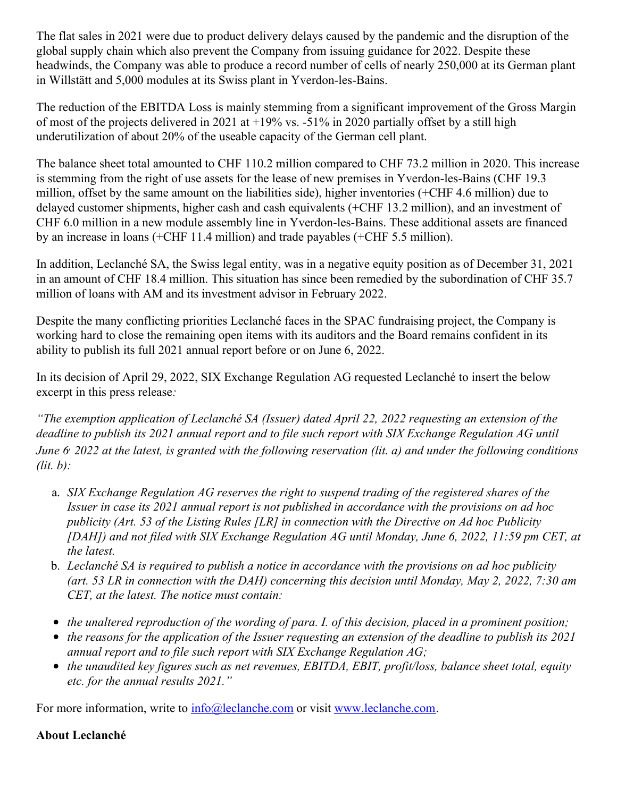The flat sales in 2021 were due to product delivery delays caused by the pandemic and the disruption of the global supply chain which also prevent the Company from issuing guidance for 2022. Despite these headwinds, the Company was able to produce a record number of cells of nearly 250,000 at its German plant in Willstätt and 5,000 modules at its Swiss plant in Yverdon-les-Bains.

The reduction of the EBITDA Loss is mainly stemming from a significant improvement of the Gross Margin of most of the projects delivered in 2021 at +19% vs. -51% in 2020 partially offset by a still high underutilization of about 20% of the useable capacity of the German cell plant.

The balance sheet total amounted to CHF 110.2 million compared to CHF 73.2 million in 2020. This increase is stemming from the right of use assets for the lease of new premises in Yverdon-les-Bains (CHF 19.3 million, offset by the same amount on the liabilities side), higher inventories (+CHF 4.6 million) due to delayed customer shipments, higher cash and cash equivalents (+CHF 13.2 million), and an investment of CHF 6.0 million in a new module assembly line in Yverdon-les-Bains. These additional assets are financed by an increase in loans (+CHF 11.4 million) and trade payables (+CHF 5.5 million).

In addition, Leclanché SA, the Swiss legal entity, was in a negative equity position as of December 31, 2021 in an amount of CHF 18.4 million. This situation has since been remedied by the subordination of CHF 35.7 million of loans with AM and its investment advisor in February 2022.

Despite the many conflicting priorities Leclanché faces in the SPAC fundraising project, the Company is working hard to close the remaining open items with its auditors and the Board remains confident in its ability to publish its full 2021 annual report before or on June 6, 2022.

In its decision of April 29, 2022, SIX Exchange Regulation AG requested Leclanché to insert the below excerpt in this press release*:*

*"The exemption application of Leclanché SA (Issuer) dated April 22, 2022 requesting an extension of the* deadline to publish its 2021 annual report and to file such report with SIX Exchange Regulation AG until June 6 2022 at the latest, is granted with the following reservation (lit. a) and under the following conditions *(lit. b):*

- a. *SIX Exchange Regulation AG reserves the right to suspend trading of the registered shares of the Issuer in case its 2021 annual report is not published in accordance with the provisions on ad hoc publicity (Art. 53 of the Listing Rules [LR] in connection with the Directive on Ad hoc Publicity [DAH]) and not filed with SIX Exchange Regulation AG until Monday, June 6, 2022, 11:59 pm CET, at the latest.*
- b. *Leclanché SA is required to publish a notice in accordance with the provisions on ad hoc publicity* (art. 53 LR in connection with the DAH) concerning this decision until Monday, May 2, 2022, 7:30 am *CET, at the latest. The notice must contain:*
- *the unaltered reproduction of the wording of para. I. of this decision, placed in a prominent position;*
- $\bullet$  the reasons for the application of the Issuer requesting an extension of the deadline to publish its 2021 *annual report and to file such report with SIX Exchange Regulation AG;*
- *the unaudited key figures such as net revenues, EBITDA, EBIT, profit/loss, balance sheet total, equity etc. for the annual results 2021."*

For more information, write to  $\frac{info@leclanche.com}{info@leclanche.com}$  $\frac{info@leclanche.com}{info@leclanche.com}$  $\frac{info@leclanche.com}{info@leclanche.com}$  or visit [www.leclanche.com](http://www.leclanche.com/).

### **About Leclanché**